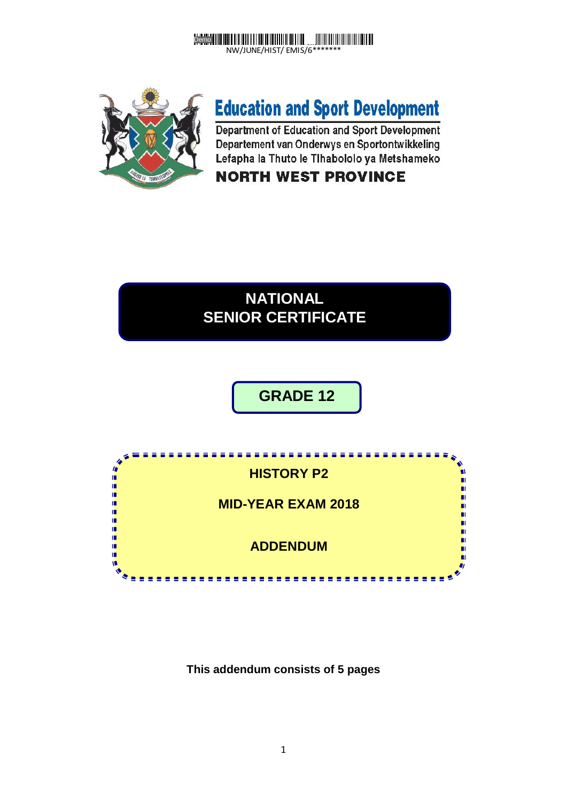



# **Education and Sport Development**

Department of Education and Sport Development Departement van Onderwys en Sportontwikkeling Lefapha la Thuto le Tihabololo ya Metshameko

### **NORTH WEST PROVINCE**

## **NATIONAL SENIOR CERTIFICATE**

# **GRADE 12**



#### **This addendum consists of 5 pages**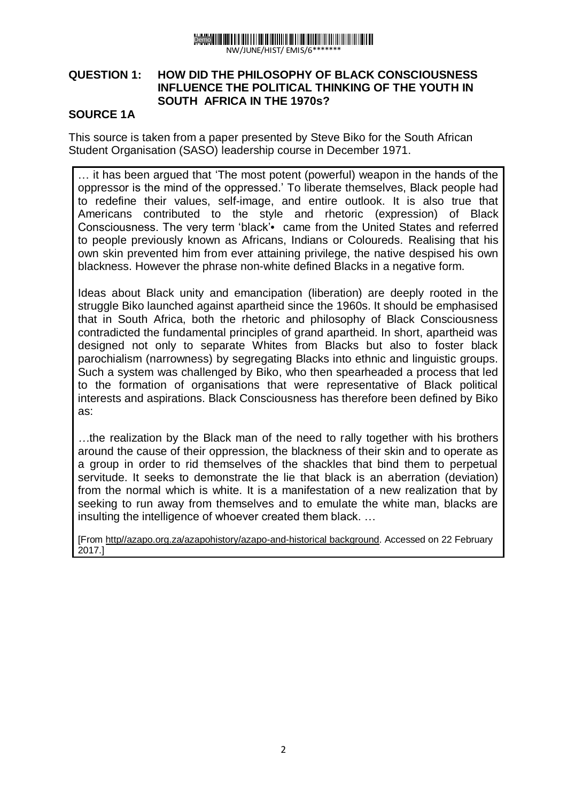

#### NW/JUNE/HIST/ EMIS/6\*\*\*\*\*\*\*

#### **QUESTION 1: HOW DID THE PHILOSOPHY OF BLACK CONSCIOUSNESS INFLUENCE THE POLITICAL THINKING OF THE YOUTH IN SOUTH AFRICA IN THE 1970s?**

#### **SOURCE 1A**

This source is taken from a paper presented by Steve Biko for the South African Student Organisation (SASO) leadership course in December 1971.

… it has been argued that 'The most potent (powerful) weapon in the hands of the oppressor is the mind of the oppressed.' To liberate themselves, Black people had to redefine their values, self-image, and entire outlook. It is also true that Americans contributed to the style and rhetoric (expression) of Black Consciousness. The very term 'black'• came from the United States and referred to people previously known as Africans, Indians or Coloureds. Realising that his own skin prevented him from ever attaining privilege, the native despised his own blackness. However the phrase non-white defined Blacks in a negative form.

Ideas about Black unity and emancipation (liberation) are deeply rooted in the struggle Biko launched against apartheid since the 1960s. It should be emphasised that in South Africa, both the rhetoric and philosophy of Black Consciousness contradicted the fundamental principles of grand apartheid. In short, apartheid was designed not only to separate Whites from Blacks but also to foster black parochialism (narrowness) by segregating Blacks into ethnic and linguistic groups. Such a system was challenged by Biko, who then spearheaded a process that led to the formation of organisations that were representative of Black political interests and aspirations. Black Consciousness has therefore been defined by Biko as:

*…*the realization by the Black man of the need to rally together with his brothers around the cause of their oppression, the blackness of their skin and to operate as a group in order to rid themselves of the shackles that bind them to perpetual servitude. It seeks to demonstrate the lie that black is an aberration (deviation) from the normal which is white. It is a manifestation of a new realization that by seeking to run away from themselves and to emulate the white man, blacks are insulting the intelligence of whoever created them black. …

[From http//azapo.org.za/azapohistory/azapo-and-historical background. Accessed on 22 February 2017.]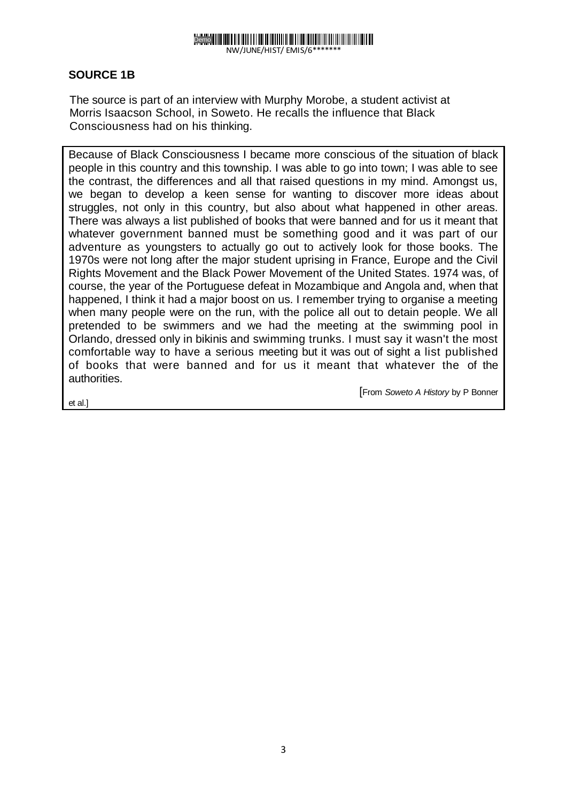### Demo

NW/JUNE/HIST/ EMIS/6\*\*\*\*\*\*\*

#### **SOURCE 1B**

The source is part of an interview with Murphy Morobe, a student activist at Morris Isaacson School, in Soweto. He recalls the influence that Black Consciousness had on his thinking.

Because of Black Consciousness I became more conscious of the situation of black people in this country and this township. I was able to go into town; I was able to see the contrast, the differences and all that raised questions in my mind. Amongst us, we began to develop a keen sense for wanting to discover more ideas about struggles, not only in this country, but also about what happened in other areas. There was always a list published of books that were banned and for us it meant that whatever government banned must be something good and it was part of our adventure as youngsters to actually go out to actively look for those books. The 1970s were not long after the major student uprising in France, Europe and the Civil Rights Movement and the Black Power Movement of the United States. 1974 was, of course, the year of the Portuguese defeat in Mozambique and Angola and, when that happened, I think it had a major boost on us. I remember trying to organise a meeting when many people were on the run, with the police all out to detain people. We all pretended to be swimmers and we had the meeting at the swimming pool in Orlando, dressed only in bikinis and swimming trunks. I must say it wasn't the most comfortable way to have a serious meeting but it was out of sight a list published of books that were banned and for us it meant that whatever the of the authorities.

et al.]

[From *Soweto A History* by P Bonner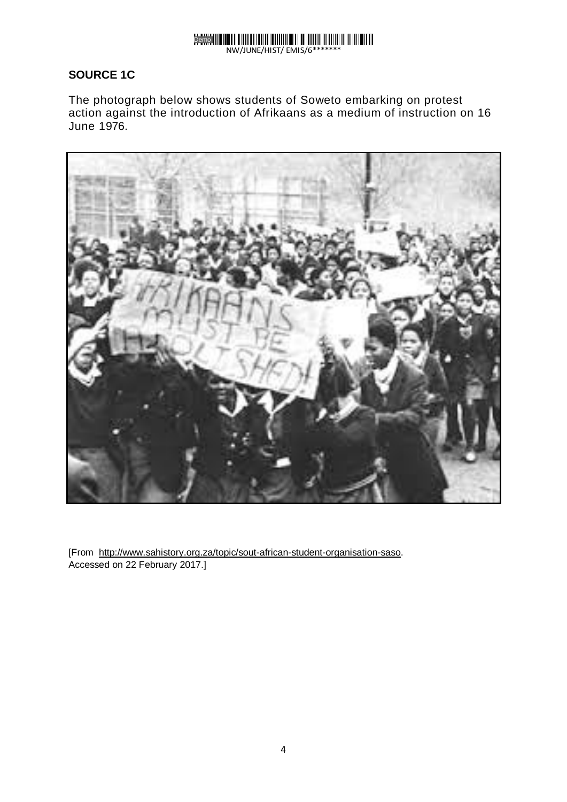

#### NW/JUNE/HIST/ EMIS/6\*\*\*\*\*\*\*

#### **SOURCE 1C**

The photograph below shows students of Soweto embarking on protest action against the introduction of Afrikaans as a medium of instruction on 16 June 1976.



[From http://www.sahistory.org.za/topic/sout-african-student-organisation-saso. Accessed on 22 February 2017.]